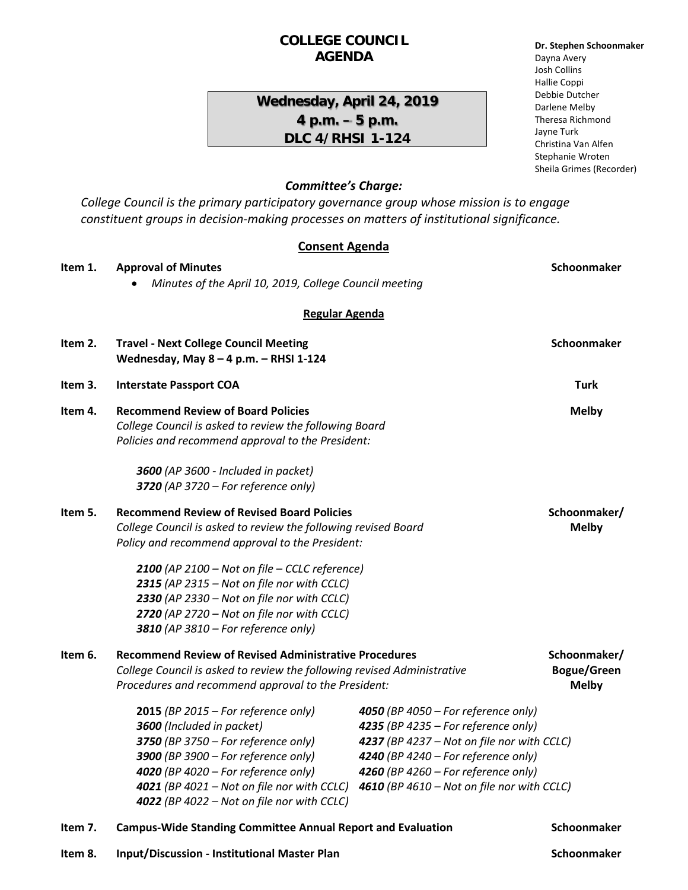# **COLLEGE COUNCIL AGENDA**

# **Wednesday, April 24, 2019 4 p.m. – 5 p.m. DLC 4/RHSI 1-124**

#### **Dr. Stephen Schoonmaker** Dayna Avery Josh Collins Hallie Coppi Debbie Dutcher Darlene Melby Theresa Richmond Jayne Turk Christina Van Alfen Stephanie Wroten Sheila Grimes (Recorder)

# *Committee's Charge:*

*College Council is the primary participatory governance group whose mission is to engage constituent groups in decision-making processes on matters of institutional significance.* 

#### **Consent Agenda**

| Item 1.<br><b>Approval of Minutes</b>                                                                                                                                                                                                                                                                                                                                                                                                                   |                                                                                                                                                          | Schoonmaker                                                                                                                                                                                                                                                                                |
|---------------------------------------------------------------------------------------------------------------------------------------------------------------------------------------------------------------------------------------------------------------------------------------------------------------------------------------------------------------------------------------------------------------------------------------------------------|----------------------------------------------------------------------------------------------------------------------------------------------------------|--------------------------------------------------------------------------------------------------------------------------------------------------------------------------------------------------------------------------------------------------------------------------------------------|
| Minutes of the April 10, 2019, College Council meeting                                                                                                                                                                                                                                                                                                                                                                                                  |                                                                                                                                                          |                                                                                                                                                                                                                                                                                            |
| <b>Regular Agenda</b>                                                                                                                                                                                                                                                                                                                                                                                                                                   |                                                                                                                                                          |                                                                                                                                                                                                                                                                                            |
| Item 2.<br><b>Travel - Next College Council Meeting</b><br>Wednesday, May $8 - 4$ p.m. $-$ RHSI 1-124                                                                                                                                                                                                                                                                                                                                                   |                                                                                                                                                          | Schoonmaker                                                                                                                                                                                                                                                                                |
| <b>Interstate Passport COA</b>                                                                                                                                                                                                                                                                                                                                                                                                                          |                                                                                                                                                          | <b>Turk</b>                                                                                                                                                                                                                                                                                |
| <b>Recommend Review of Board Policies</b><br>Item 4.<br>College Council is asked to review the following Board<br>Policies and recommend approval to the President:                                                                                                                                                                                                                                                                                     |                                                                                                                                                          | <b>Melby</b>                                                                                                                                                                                                                                                                               |
| 3600 (AP 3600 - Included in packet)<br>3720 (AP 3720 – For reference only)                                                                                                                                                                                                                                                                                                                                                                              |                                                                                                                                                          |                                                                                                                                                                                                                                                                                            |
| <b>Recommend Review of Revised Board Policies</b><br>Item 5.<br>Schoonmaker/<br>College Council is asked to review the following revised Board<br><b>Melby</b><br>Policy and recommend approval to the President:<br>2100 (AP 2100 $-$ Not on file $-$ CCLC reference)<br>2315 (AP 2315 - Not on file nor with CCLC)<br>2330 (AP 2330 - Not on file nor with CCLC)<br>2720 (AP 2720 - Not on file nor with CCLC)<br>3810 (AP 3810 - For reference only) |                                                                                                                                                          |                                                                                                                                                                                                                                                                                            |
| 2015 (BP 2015 – For reference only)<br>3600 (Included in packet)<br>3750 (BP 3750 – For reference only)<br>3900 (BP 3900 - For reference only)<br>4020 (BP 4020 - For reference only)<br>4021 (BP 4021 - Not on file nor with CCLC)                                                                                                                                                                                                                     | 4050 (BP 4050 – For reference only)<br>4235 (BP 4235 – For reference only)<br>4240 (BP 4240 – For reference only)<br>4260 (BP 4260 – For reference only) | Schoonmaker/<br><b>Bogue/Green</b><br><b>Melby</b>                                                                                                                                                                                                                                         |
|                                                                                                                                                                                                                                                                                                                                                                                                                                                         | 4022 (BP 4022 - Not on file nor with CCLC)                                                                                                               | <b>Recommend Review of Revised Administrative Procedures</b><br>College Council is asked to review the following revised Administrative<br>Procedures and recommend approval to the President:<br>4237 (BP 4237 - Not on file nor with CCLC)<br>4610 (BP 4610 - Not on file nor with CCLC) |

**Item 7.** Campus-Wide Standing Committee Annual Report and Evaluation **Schoonmaker** 

**Item 8. Input/Discussion - Institutional Master Plan Schoonmaker**